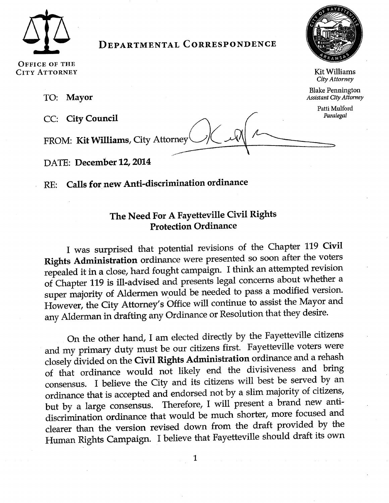

# **DEPARTMENTAL CORRESPONDENCE**



**Kit Williams** 

City Attorney **Blake Pennington** 

**Assistant City Attorney** Patti Mulford

Paralegal

OFFICE OF THE **CITY ATTORNEY** 

> **Mayor** TO:

CC: City Council

FROM: Kit Williams, City Attorney

DATE: December 12, 2014

Calls for new Anti-discrimination ordinance  $RE:$ 

# The Need For A Fayetteville Civil Rights **Protection Ordinance**

I was surprised that potential revisions of the Chapter 119 Civil Rights Administration ordinance were presented so soon after the voters repealed it in a close, hard fought campaign. I think an attempted revision of Chapter 119 is ill-advised and presents legal concerns about whether a super majority of Aldermen would be needed to pass a modified version. However, the City Attorney's Office will continue to assist the Mayor and any Alderman in drafting any Ordinance or Resolution that they desire.

On the other hand, I am elected directly by the Fayetteville citizens and my primary duty must be our citizens first. Fayetteville voters were closely divided on the Civil Rights Administration ordinance and a rehash of that ordinance would not likely end the divisiveness and bring consensus. I believe the City and its citizens will best be served by an ordinance that is accepted and endorsed not by a slim majority of citizens, but by a large consensus. Therefore, I will present a brand new antidiscrimination ordinance that would be much shorter, more focused and clearer than the version revised down from the draft provided by the Human Rights Campaign. I believe that Fayetteville should draft its own

1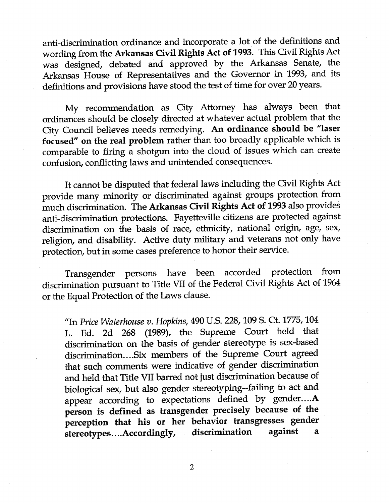anti-discrimination ordinance and incorporate a lot of the definitions and wording from the Arkansas civil Rights Act of t993. This Civil Rights Act was designed, debated and approved by the Arkansas Senate, the Arkansas House of Representatives and the Governor in 1993, and its definitions and provisions have stood the test of time for over 20 years.

My recommendation as City Attorney has always been that ordinances should be closely directed at whatever actual problem that the City Council believes needs remedying. An ordinance should be "laser focused" on the real problem rather than too broadly applicable which is comparable to firing a shotgun into the cloud of issues which can create confusion, conflicting laws and unintended consequences.

It cannot be disputed that federal laws including the Civil Rights Act provide many minority or discriminated against groups protection from much discrimination. The Arkansas Civil Rights Act of 1993 also provides anti-discrimination protections. Fayetteville citizens are protected against discrimination on the basis of race, ethnicity, national origin, age, sex, religion, and disability. Active duty military and veterans not only have protection, but in some cases preference to honor their service.

Transgender persons have been accorded protection from discrimination pursuant to Title VII of the Federal Civil Rights Act of 1964 or the Equal Protection of the Laws clause.

"In Price Waterhouse v. Hopkins, 490 U.S. 228, 109 S. Ct. 1775, 104 L. Ed. 2d 268 (1989), the supreme court held that discrimination on the basis of gender stereotype is sex-based discrimination....Six members of the Supreme Court agreed that such comments were indicative of gender discrimination and held that Title MI barred not just discrimination because of biological sex, but also gender stereotyping--failing to act and appear according to expectations defined by gender....A person is defined as transgender precisely because of the perception that his or her behavior transgresses gender<br>stereotypes....Accordingly, discrimination against a stereotypes....Accordingly,

2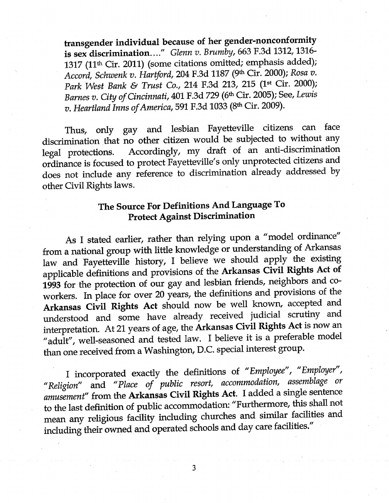transgender individual because of her gender-nonconformity is sex discrimination...." Glenn v. Brumby, 663 F.3d 1312, 1316-1317 (11<sup>th</sup> Cir. 2011) (some citations omitted; emphasis added); Accord, Schwenk v. Hartford, 204 F.3d 1187 (9th Cir. 2000); Rosa v. Park West Bank & Trust Co., 214 F.3d 213, 215 (1<sup>st</sup> Cir. 2000); Barnes v. City of Cincinnati, 401 F.3d 729 (6th Cir. 2005); See, Lewis v. Heartland Inns of America, 591 F.3d 1033 (8th Cir. 2009).

Thus, only gay and lesbian Fayetteville citizens can face discrimination that no other citizen would be subjected to without any Accordingly, my draft of an anti-discrimination legal protections. ordinance is focused to protect Fayetteville's only unprotected citizens and does not include any reference to discrimination already addressed by other Civil Rights laws.

# The Source For Definitions And Language To **Protect Against Discrimination**

As I stated earlier, rather than relying upon a "model ordinance" from a national group with little knowledge or understanding of Arkansas law and Fayetteville history, I believe we should apply the existing applicable definitions and provisions of the Arkansas Civil Rights Act of 1993 for the protection of our gay and lesbian friends, neighbors and coworkers. In place for over 20 years, the definitions and provisions of the Arkansas Civil Rights Act should now be well known, accepted and understood and some have already received judicial scrutiny and interpretation. At 21 years of age, the Arkansas Civil Rights Act is now an "adult", well-seasoned and tested law. I believe it is a preferable model than one received from a Washington, D.C. special interest group.

I incorporated exactly the definitions of "Employee", "Employer", "Religion" and "Place of public resort, accommodation, assemblage or amusement" from the Arkansas Civil Rights Act. I added a single sentence to the last definition of public accommodation: "Furthermore, this shall not mean any religious facility including churches and similar facilities and including their owned and operated schools and day care facilities."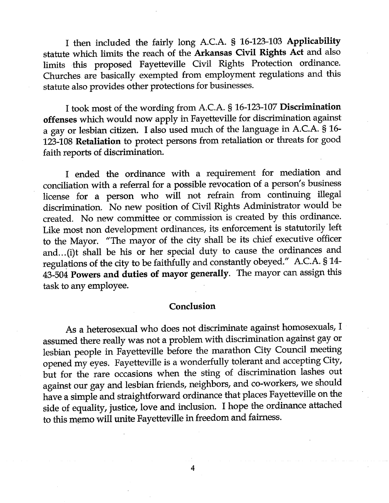I then included the fairly long A.C.A. § 16-123-103 Applicability statute which limits the reach of the Arkansas Civil Rights Act and also limits this proposed Fayetteville Civil Rights Protection ordinance. Churches are basically exempted from employment regulations and this statute also provides other protections for businesses.

I took most of the wording from A.C.A. § 16-123-107 Discrimination offenses which would now apply in Fayetteville for discrimination against a gay or lesbian citizen. I also used much of the language in A.C.A. § 16-123-108 Retaliation to protect persons from retaliation or threats for good faith reports of discrimination.

I ended the ordinance with a requirement for mediation and conciliation with a referral for a possible revocation of a person's business license for a person who will not refrain from continuing illegal discrimination. No new position of Civil Rights Administrator would be created. No new committee or commission is created by this ordinance. Like most non development ordinances, its enforcement is statutorily left to the Mayor. "The mayor of the city shall be its chief executive officer and...(i)t shall be his or her special duty to cause the ordinances and regulations of the city to be faithfully and constantly obeyed." A.C.A. § 14-43-504 Powers and duties of mayor generally. The mayor can assign this task to any employee.

## Conclusion

As a heterosexual who does not discriminate against homosexuals, I assumed there really was not a problem with discrimination against gay or lesbian people in Fãyetteville before the marathon City Council meeting opened my eyes. Fayetteville is a wonderfully tolerant and accepting City, but for the rare occasions when the sting of discrimination lashes out against our gay and lesbian friends, neighbors, and co-workers, we should have a simple and straightforward ordinance that places Fayetteville on the side of equality, justice, love and inclusion. I hope the ord:<br>to this memo will unite Fayetteville in freedom and fairness. side of equality, justice, love and inclusion. I hope the ordinance attached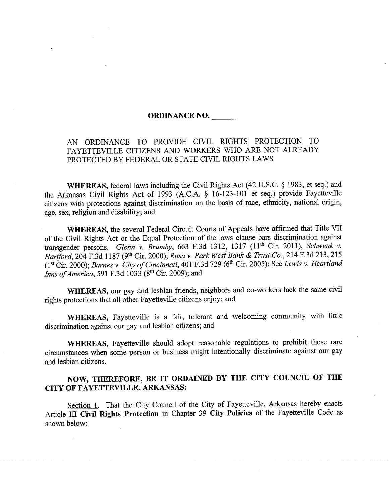## ORDINANCE NO.

# AN ORDINANCE TO PROVIDE CIVIL RIGHTS PROTECTION TO FAYETTEVILLE CITIZENS AND WORKERS WHO ARE NOT ALREADY PROTECTED BY FEDERAL OR STATE CIVIL RIGHTS LAWS

WHEREAS, federal laws including the Civil Rights Act (42 U.S.C. \$ 1983, et seq.) and the Arkansas Civil Rights Act of 1993 (A.C.A. \$ 16-123-10l et seq.) provide Fayetteville citizens with protections against discrimination on the basis of race, ethnicity, national origin, age, sex, religion and disability; and

WHEREAS, the several Federal Circuit Courts of Appeals have affirmed that Title VII of the Civil Rights Act or the Equal Protection of the laws clause bars discrimination against transgender persons. Glenn v. Brumby, 663 F.3d 1312, 1317 (11<sup>th</sup> Cir. 2011), Schwenk v. Hartford, 204 F.3d 1187 (9th Cir. 2000); Rosa v. Park West Bank & Trust Co., 214 F.3d 213, 215 (1st Cir. 2000); Barnes v. City of Cincinnati, 401 F.3d 729 (6<sup>th</sup> Cir. 2005); See Lewis v. Heartland *Inns of America*, 591 F.3d 1033 ( $8<sup>th</sup>$  Cir. 2009); and

WHEREAS, our gay and lesbian friends, neighbors and co-workers lack the same civil rights protections that all other Fayetteville citizens enjoy; and

WHEREAS, Fayetteville is a fair, tolerant and welcoming community with little discrimination against our gay and lesbian citizens; and

WHEREAS, Fayetteville should adopt reasonable regulations to prohibit those rare circumstances when some person or business might intentionally discriminate against our gay and lesbian citizens.

# NOW, THEREFORE, BE IT ORDAINED BY THE CITY COUNCIL OF THE CITY OF FAYETTEVILLE, ARKANSAS:

Section 1. That the City Council of the City of Fayetteville, Arkansas hereby enacts Article III Civil Rights Protection in Chapter 39 City Policies of the Fayetteville Code as shown below: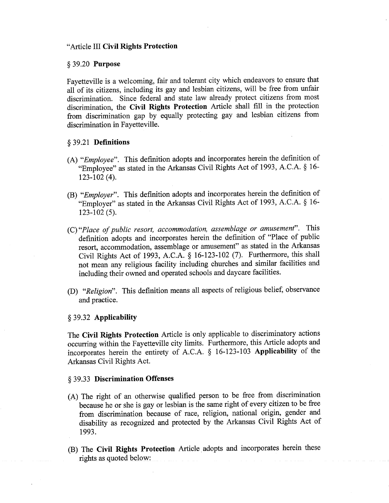### "Article III Civil Rights Protection

#### \$ 39.20 Purpose

Fayetteville is a welcoming, fair and tolerant city which endeavors to ensure that all of its citizens, including its gay and lesbian citizens, will be free from unfair discrimination. Since federal and state law already protect citizens from most discrimination, the Civit Rights Protection Article shall fill in the protection from discrimination gap by equally protecting gay and lesbian citizens from discrimination in Fayetteville.

#### § 39.21 **Definitions**

- (A) "Employee". This definition adopts and incorporates herein the definition of "Employee" as stated in the Arkansas Civil Rights Act of t993, A.C.A. \$ 16- 123-102 (4).
- (B) "Employer". This definition adopts and incorporates herein the definition of "Employer" as stated in the Arkansas Civil Rights Act of 1993, A.C.A. \$ 16- 123-102 (s).
- (C)"Place of public resort, accommodation, assemblage or amusement". This definition adopts and incorporates herein the definition of "Place of public resort, accommodation, assemblage or amusement" as stated in the Arkansas Civil Rights Act of 1993, A.C.A. \$ 16-123-102 (7). Furthermore, this shall not mean any religious facility including churches and similar facilities and including their owned and operated schools and daycare facilities.
- (D) "Religion". This definition means all aspects of religious belief, observance and practice.

### § 39.32 Applicability

The Civil Rights Protection Article is only applicable to discriminatory actions occurring within the Fayetteville city limits. Furthermore, this Article adopts and incorporátes herein the entirety of A.C.A. \$ 16-123-103 Applicabitity of the Arkansas Civil Rights Act.

## § 39.33 Discrimination Offenses

- (A) The right of an otherwise qualified person to be free from discrimination ' because he or she is gay or lesbian is the same right of every citizen to be free from discrimination because of race, religion, national origin, gender and disability as recognized and protected by the Arkansas Civil Rights Act of 1993.
- (B) The Civil Rights Protection Article adopts and incorporates herein these rights as quoted below: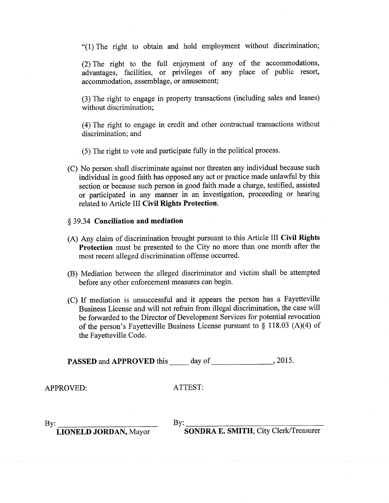"(1) The right to obtain and hold employment without discrimination;

(2) The right to the full enjoyment of any of the accommodations, advantages, facilities, or privileges of any place of public resort, accommodation, assemblage, or amusement;

(3) The right to engage in property transactions (including sales and leases) without discrimination;

(4) The right to engage in credit and other contractual transactions without discrimination; and

(5) The right to vote and participate fully in the political process.

(C) No person shall discriminate against nor threaten any individual because such individual in good faith has opposed any act or practice made unlawful by this section or because such person in good faith made a charge, testified, assisted or participated in any manner in an investigation, proceeding or hearing related to Article III Civil Rights Protection.

## § 39.34 Conciliation and mediation

- (A) Any claim of discrimination brought pursuant to this Article III Civil Rights Protection must be presented to the City no more than one month after the most recent alleged discrimination offense occurred.
- (B) Mediation between the alleged discriminator and victim shall be attempted before any other enforcement measures can begin.
- (C) If mediation is unsuccessful and it appears the person has a Fayetteville Business License and will not refrain from illegal discrimination, the case will be forwarded to the Director of Development Services for potential revocation of the person's Fayetteville Business License pursuant to  $\S$  118.03 (A)(4) of the Fayetteville Code.

**PASSED** and **APPROVED** this  $\_\_\_\_$  day of  $\_\_\_\_\_\_$ , 2015.

APPROVED:

ATTEST:

By: By:

By: LIONELD JORDAN, Mayor By: SONDRA E. SMITH, City Clerk/Treasurer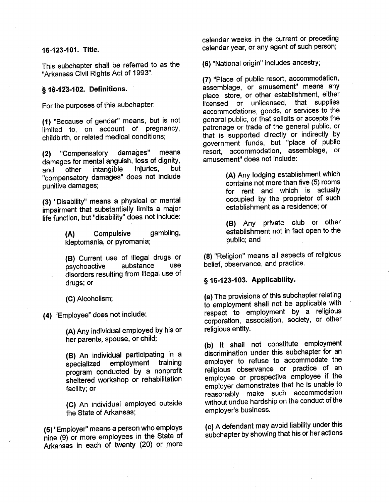## 16-123-101. Title.

This subchapter shall be referred to as the "Arkansas Civil Rights Act of 1993".

## § 16-123-102. Definitions.

For the purposes of this subchapter:

(1) "Because of gender" means, but is not limited to, on account of pregnancy, childbirth, or related medical conditions;

(21 "Compensatory damages" means damages for mental anguish, loss of dignity,<br>and other intangible injuries, but and other intangible injuries, but "compensatory damages" does not include punitive damages;

(3) "Disability" means a physical or mental impairment that substantially limits a major life function, but "disability" does not include:

> (A) Compulsive gambling, kleptomania, or pyromania;

(B) Current use of illegal drugs or<br>nsychoactive substance use psychoactive . disorders resulting from illegal use of drugs; or

(G) Alcoholism;

(4) "EmploYee" does not include:

(A) Any individual employed by his or her parents, spouse, or child;

(B) An individual participating ín <sup>a</sup> employment training program conducted by a nonprofit sheitered workshop or rehabilitation facility; or

(C) An individual employed outside the State of Arkansas;

(5) "Employer" means a person who employs nine (9) or more employees in the State of Arkansas in each of twenty (20) or more calendar weeks in the current or preceding calendar year, or any agent of such person;

(6) "National origin" includes ancestry;

(7) "Place of public resort, accommodation, assemblage, or amusemênt" means any place, store, or other establishment, either iicensed or unlicensed, that supplies accommodations, goods, or services to the general public, or that solicits or accepts the þatronage or trade of the general public, or that is supported directly or indirectly by government funds, but "place of public resort, accommodation, assemblage, or amusement" does not include

> (A) Any lodging establishment which contains not more than five (5) rooms for rent and which is actuallY occupied by the proprietor of such establishment as a residence; or

> (B) Any private club or other establishment not in fact open to the public; and

(8) "Religion" means all aspects of religious belief, observance, and practice.

## § 16-123-103. Applicability.

(a) The provisions of this subchapter relatíng io'employment shall not be applicable with respect to employment by a religious corporation, association, society, or other religious entitY.

(b) lt shall not constitute employment díscrimination under this subchapter for an employer to refuse to accommodate the religious observance or practice of an emþloyee or prospective employee if the employer demonstrates that he is unable to reasonably make such accommodation without undue hardship on the conduct of the employer's business.

(c) A defendant may avoid liability under this subchapter by showing that his or her actions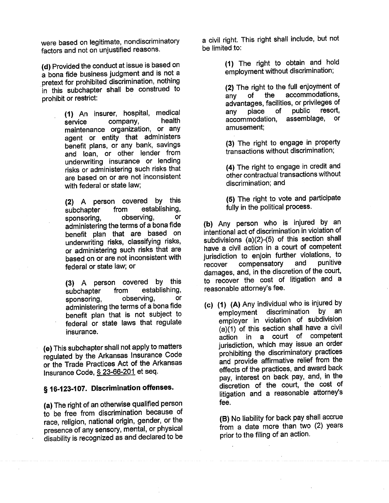were based on Iegitimate, nondiscriminatory factors and not on unjustified reasons.

(d) Provided the conduct at issue is based on a bona fide business judgment and is not <sup>a</sup> pretext for prohibited discrimination, nothing in this subchapter shall be construed to prohibit or restrict:

> (1) An insurer, hospital, medical service company, health service company, health<br>maintenance organization, or any agent or entity that administers benefit plans, or any bank, savings and loan, or other lender from undenrvriting insurance or lending risks or administering such risks that are based on or are not inconsistent with federal or state law;

(2) A person covered by this<br>subchapter from establishing, subchapter from establishing,<br>sponsoring, observing, or sponsoring, administering the terms of a bona fide benefit plan that are based on underwriting risks, classifying risks, or administering such risks that are based on or are not inconsistent with federal or state law; or

(3) A Person covered bY this subchapter from establishing, sponsoring, observing, or administering the terms of a bona fide benefit plan that is not subject to federal or state laws that regulate insurance.

(e) This subchapter shall not apply to matters regulated by the Arkansas Insurance Code or the Trade Practices Act of the Arkansas lnsurance Code, S 23-66-201 et seq.

# § 16-123-107. Discrimination offenses.

(a) The right of an otherwise qualified person to be free from discrimination because of race, religion, national origin, gender, or the presence of any sensory, mental, or physical äisability is recognized as and declared to be a oivil right. This right shall include, but not be limited to:

> (1) The right to obtain and hold employment without discrimination;

(2) The right to the full enjoyment of<br>any of the accommodations, any of the accommodations, advantages, facilities, or privileges of any place of public resort, accommodation, assemblage, or amusement;

(3) The right to engage in property transactions without discrimination;

(4) The right to engage in credit and other contractual transactions without discrimination; and

(5) The right to vote and participate fully in the political process.

(b) Any person who is injured by an intentioñal act of discrimination in violation of subdivisions  $(a)(2)-(5)$  of this section shall have a civil actíon in a court of competent jurisdiction to enjoin further violations, to<br>recover compensatory and punitive recover compensatory and punitive damages, and, in the discretion of the court, to recover the cost of litigation and a reasonable attorney's fee.

(c) (1) (A) Any individual who is injured by<br>employment discrimination by an employment discrimination employer in violation of subdivision  $(a)(1)$  of this section shall have a civil action in a court of competent jurisdiction, which may issue an order þrohibiting the discriminatory practices and provide affirmative relief from the effecis of the practices, and award back pay, interest on back pay, and, in the discretion of the court, the cost of Iitigation and a reasonable attorney's fee.

> (B) No liability for back pay shall accrue from a date more than two (2) years prior to the filing of an action.